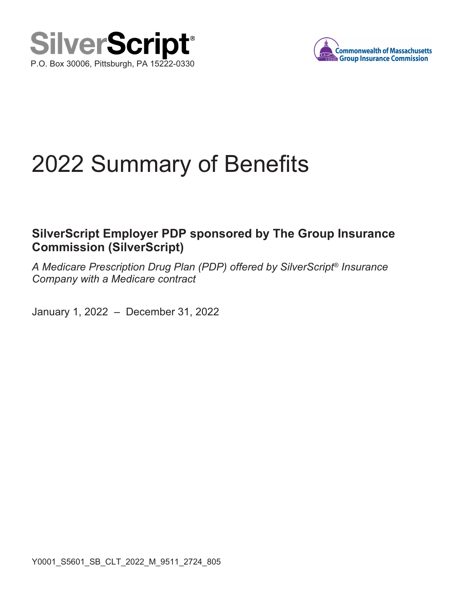



## 2022 Summary of Benefits

## **SilverScript Employer PDP sponsored by The Group Insurance Commission (SilverScript)**

A Medicare Prescription Drug Plan (PDP) offered by SilverScript*®* Insurance Company with a Medicare contract

January 1, 2022 – December 31, 2022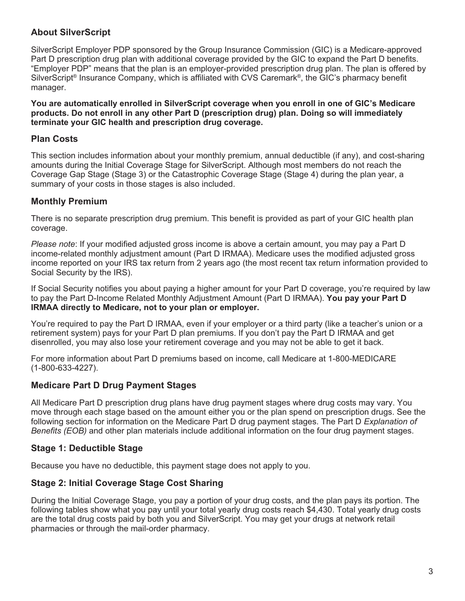#### **About SilverScript**

SilverScript Employer PDP sponsored by the Group Insurance Commission (GIC) is a Medicare-approved Part D prescription drug plan with additional coverage provided by the GIC to expand the Part D benefits. "Employer PDP" means that the plan is an employer-provided prescription drug plan. The plan is offered by SilverScript<sup>®</sup> Insurance Company, which is affiliated with CVS Caremark<sup>®</sup>, the GIC's pharmacy benefit manager.

**You are automatically enrolled in SilverScript coverage when you enroll in one of GIC's Medicare products. Do not enroll in any other Part D (prescription drug) plan. Doing so will immediately terminate your GIC health and prescription drug coverage.**

#### **Plan Costs**

This section includes information about your monthly premium, annual deductible (if any), and cost-sharing amounts during the Initial Coverage Stage for SilverScript. Although most members do not reach the Coverage Gap Stage (Stage 3) or the Catastrophic Coverage Stage (Stage 4) during the plan year, a summary of your costs in those stages is also included.

#### **Monthly Premium**

There is no separate prescription drug premium. This benefit is provided as part of your GIC health plan coverage.

Please note: If your modified adjusted gross income is above a certain amount, you may pay a Part D income-related monthly adjustment amount (Part D IRMAA). Medicare uses the modified adjusted gross income reported on your IRS tax return from 2 years ago (the most recent tax return information provided to Social Security by the IRS).

If Social Security notifies you about paying a higher amount for your Part D coverage, you're required by law to pay the Part D-Income Related Monthly Adjustment Amount (Part D IRMAA). **You pay your Part D IRMAA directly to Medicare, not to your plan or employer.**

You're required to pay the Part D IRMAA, even if your employer or a third party (like a teacher's union or a retirement system) pays for your Part D plan premiums. If you don't pay the Part D IRMAA and get disenrolled, you may also lose your retirement coverage and you may not be able to get it back.

For more information about Part D premiums based on income, call Medicare at 1-800-MEDICARE (1-800-633-4227).

#### **Medicare Part D Drug Payment Stages**

All Medicare Part D prescription drug plans have drug payment stages where drug costs may vary. You move through each stage based on the amount either you or the plan spend on prescription drugs. See the following section for information on the Medicare Part D drug payment stages. The Part D Explanation of Benefits (EOB) and other plan materials include additional information on the four drug payment stages.

#### **Stage 1: Deductible Stage**

Because you have no deductible, this payment stage does not apply to you.

#### **Stage 2: Initial Coverage Stage Cost Sharing**

During the Initial Coverage Stage, you pay a portion of your drug costs, and the plan pays its portion. The following tables show what you pay until your total yearly drug costs reach \$4,430. Total yearly drug costs are the total drug costs paid by both you and SilverScript. You may get your drugs at network retail pharmacies or through the mail-order pharmacy.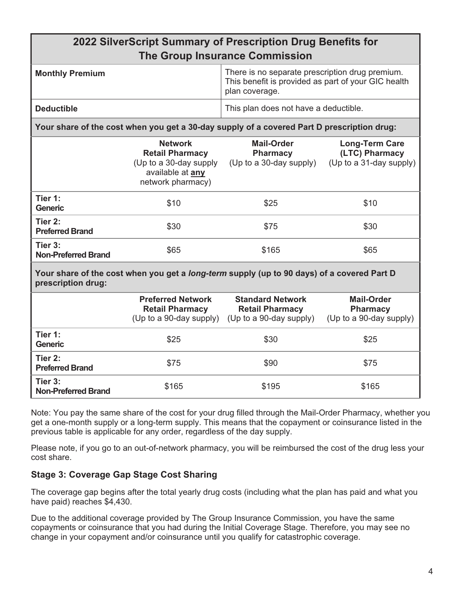| 2022 SilverScript Summary of Prescription Drug Benefits for<br><b>The Group Insurance Commission</b>                    |                                                                                                             |                                                                                                                          |                                                                    |  |
|-------------------------------------------------------------------------------------------------------------------------|-------------------------------------------------------------------------------------------------------------|--------------------------------------------------------------------------------------------------------------------------|--------------------------------------------------------------------|--|
| <b>Monthly Premium</b>                                                                                                  |                                                                                                             | There is no separate prescription drug premium.<br>This benefit is provided as part of your GIC health<br>plan coverage. |                                                                    |  |
| <b>Deductible</b>                                                                                                       |                                                                                                             | This plan does not have a deductible.                                                                                    |                                                                    |  |
| Your share of the cost when you get a 30-day supply of a covered Part D prescription drug:                              |                                                                                                             |                                                                                                                          |                                                                    |  |
|                                                                                                                         | <b>Network</b><br><b>Retail Pharmacy</b><br>(Up to a 30-day supply<br>available at any<br>network pharmacy) | <b>Mail-Order</b><br><b>Pharmacy</b><br>(Up to a 30-day supply)                                                          | <b>Long-Term Care</b><br>(LTC) Pharmacy<br>(Up to a 31-day supply) |  |
| Tier 1:<br><b>Generic</b>                                                                                               | \$10                                                                                                        | \$25                                                                                                                     | \$10                                                               |  |
| Tier 2:<br><b>Preferred Brand</b>                                                                                       | \$30                                                                                                        | \$75                                                                                                                     | \$30                                                               |  |
| Tier 3:<br><b>Non-Preferred Brand</b>                                                                                   | \$65                                                                                                        | \$165                                                                                                                    | \$65                                                               |  |
| Your share of the cost when you get a <i>long-term</i> supply (up to 90 days) of a covered Part D<br>prescription drug: |                                                                                                             |                                                                                                                          |                                                                    |  |
|                                                                                                                         | <b>Preferred Network</b><br><b>Retail Pharmacy</b><br>(Up to a 90-day supply)                               | <b>Standard Network</b><br><b>Retail Pharmacy</b><br>(Up to a 90-day supply)                                             | <b>Mail-Order</b><br><b>Pharmacy</b><br>(Up to a 90-day supply)    |  |
| Tier 1:<br><b>Generic</b>                                                                                               | \$25                                                                                                        | \$30                                                                                                                     | \$25                                                               |  |
| Tier 2:<br><b>Preferred Brand</b>                                                                                       | \$75                                                                                                        | \$90                                                                                                                     | \$75                                                               |  |
| Tier 3:<br><b>Non-Preferred Brand</b>                                                                                   | \$165                                                                                                       | \$195                                                                                                                    | \$165                                                              |  |

Note: You pay the same share of the cost for your drug filled through the Mail-Order Pharmacy, whether you get a one-month supply or a long-term supply. This means that the copayment or coinsurance listed in the previous table is applicable for any order, regardless of the day supply.

Please note, if you go to an out-of-network pharmacy, you will be reimbursed the cost of the drug less your cost share.

#### **Stage 3: Coverage Gap Stage Cost Sharing**

The coverage gap begins after the total yearly drug costs (including what the plan has paid and what you have paid) reaches \$4,430.

Due to the additional coverage provided by The Group Insurance Commission, you have the same copayments or coinsurance that you had during the Initial Coverage Stage. Therefore, you may see no change in your copayment and/or coinsurance until you qualify for catastrophic coverage.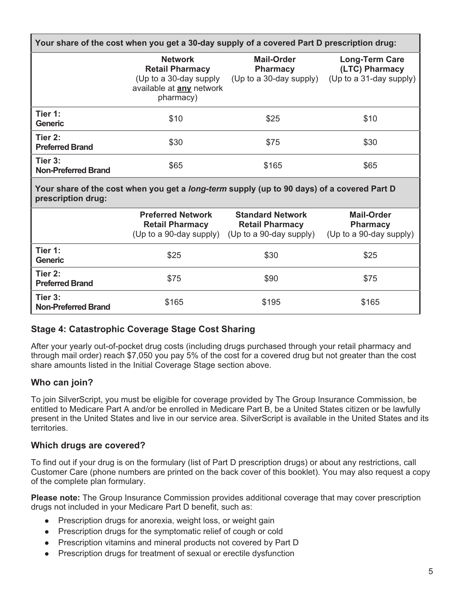| Your share of the cost when you get a 30-day supply of a covered Part D prescription drug:                              |                                                                                                                    |                                                                              |                                                                    |  |
|-------------------------------------------------------------------------------------------------------------------------|--------------------------------------------------------------------------------------------------------------------|------------------------------------------------------------------------------|--------------------------------------------------------------------|--|
|                                                                                                                         | <b>Network</b><br><b>Retail Pharmacy</b><br>(Up to a 30-day supply<br>available at <b>any</b> network<br>pharmacy) | <b>Mail-Order</b><br><b>Pharmacy</b><br>(Up to a 30-day supply)              | <b>Long-Term Care</b><br>(LTC) Pharmacy<br>(Up to a 31-day supply) |  |
| Tier 1:<br><b>Generic</b>                                                                                               | \$10                                                                                                               | \$25                                                                         | \$10                                                               |  |
| Tier 2:<br><b>Preferred Brand</b>                                                                                       | \$30                                                                                                               | \$75                                                                         | \$30                                                               |  |
| Tier 3:<br><b>Non-Preferred Brand</b>                                                                                   | \$65                                                                                                               | \$165                                                                        | \$65                                                               |  |
| Your share of the cost when you get a <i>long-term</i> supply (up to 90 days) of a covered Part D<br>prescription drug: |                                                                                                                    |                                                                              |                                                                    |  |
|                                                                                                                         | <b>Preferred Network</b><br><b>Retail Pharmacy</b><br>(Up to a 90-day supply)                                      | <b>Standard Network</b><br><b>Retail Pharmacy</b><br>(Up to a 90-day supply) | <b>Mail-Order</b><br><b>Pharmacy</b><br>(Up to a 90-day supply)    |  |
| Tier 1:<br><b>Generic</b>                                                                                               | \$25                                                                                                               | \$30                                                                         | \$25                                                               |  |
| Tier 2:<br><b>Preferred Brand</b>                                                                                       | \$75                                                                                                               | \$90                                                                         | \$75                                                               |  |
| Tier 3:<br><b>Non-Preferred Brand</b>                                                                                   | \$165                                                                                                              | \$195                                                                        | \$165                                                              |  |

#### **Stage 4: Catastrophic Coverage Stage Cost Sharing**

After your yearly out-of-pocket drug costs (including drugs purchased through your retail pharmacy and through mail order) reach \$7,050 you pay 5% of the cost for a covered drug but not greater than the cost share amounts listed in the Initial Coverage Stage section above.

#### **Who can join?**

To join SilverScript, you must be eligible for coverage provided by The Group Insurance Commission, be entitled to Medicare Part A and/or be enrolled in Medicare Part B, be a United States citizen or be lawfully present in the United States and live in our service area. SilverScript is available in the United States and its territories.

#### **Which drugs are covered?**

To find out if your drug is on the formulary (list of Part D prescription drugs) or about any restrictions, call Customer Care (phone numbers are printed on the back cover of this booklet). You may also request a copy of the complete plan formulary.

**Please note:** The Group Insurance Commission provides additional coverage that may cover prescription drugs not included in your Medicare Part D benefit, such as:

- Prescription drugs for anorexia, weight loss, or weight gain
- Prescription drugs for the symptomatic relief of cough or cold
- Prescription vitamins and mineral products not covered by Part D
- Prescription drugs for treatment of sexual or erectile dysfunction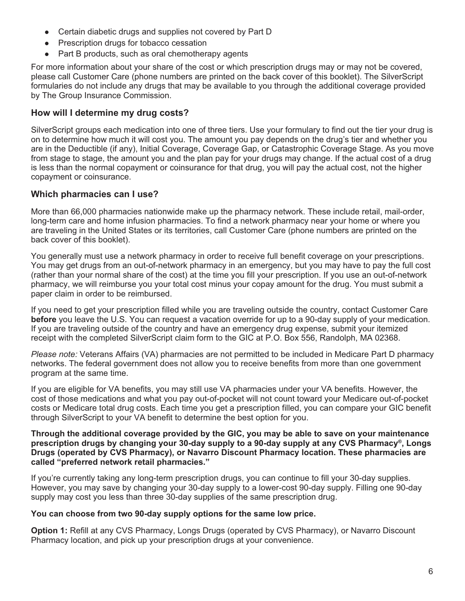- Certain diabetic drugs and supplies not covered by Part D
- Prescription drugs for tobacco cessation
- Part B products, such as oral chemotherapy agents

For more information about your share of the cost or which prescription drugs may or may not be covered, please call Customer Care (phone numbers are printed on the back cover of this booklet). The SilverScript formularies do not include any drugs that may be available to you through the additional coverage provided by The Group Insurance Commission.

#### **How will I determine my drug costs?**

SilverScript groups each medication into one of three tiers. Use your formulary to find out the tier your drug is on to determine how much it will cost you. The amount you pay depends on the drug's tier and whether you are in the Deductible (if any), Initial Coverage, Coverage Gap, or Catastrophic Coverage Stage. As you move from stage to stage, the amount you and the plan pay for your drugs may change. If the actual cost of a drug is less than the normal copayment or coinsurance for that drug, you will pay the actual cost, not the higher copayment or coinsurance.

#### **Which pharmacies can I use?**

More than 66,000 pharmacies nationwide make up the pharmacy network. These include retail, mail-order, long-term care and home infusion pharmacies. To find a network pharmacy near your home or where you are traveling in the United States or its territories, call Customer Care (phone numbers are printed on the back cover of this booklet).

You generally must use a network pharmacy in order to receive full benefit coverage on your prescriptions. You may get drugs from an out-of-network pharmacy in an emergency, but you may have to pay the full cost (rather than your normal share of the cost) at the time you fill your prescription. If you use an out-of-network pharmacy, we will reimburse you your total cost minus your copay amount for the drug. You must submit a paper claim in order to be reimbursed.

If you need to get your prescription filled while you are traveling outside the country, contact Customer Care **before** you leave the U.S. You can request a vacation override for up to a 90-day supply of your medication. If you are traveling outside of the country and have an emergency drug expense, submit your itemized receipt with the completed SilverScript claim form to the GIC at P.O. Box 556, Randolph, MA 02368.

Please note: Veterans Affairs (VA) pharmacies are not permitted to be included in Medicare Part D pharmacy networks. The federal government does not allow you to receive benefits from more than one government program at the same time.

If you are eligible for VA benefits, you may still use VA pharmacies under your VA benefits. However, the cost of those medications and what you pay out-of-pocket will not count toward your Medicare out-of-pocket costs or Medicare total drug costs. Each time you get a prescription filled, you can compare your GIC benefit through SilverScript to your VA benefit to determine the best option for you.

#### **Through the additional coverage provided by the GIC, you may be able to save on your maintenance prescription drugs by changing your 30-day supply to a 90-day supply at any CVS Pharmacy® , Longs Drugs (operated by CVS Pharmacy), or Navarro Discount Pharmacy location. These pharmacies are called "preferred network retail pharmacies."**

If you're currently taking any long-term prescription drugs, you can continue to fill your 30-day supplies. However, you may save by changing your 30-day supply to a lower-cost 90-day supply. Filling one 90-day supply may cost you less than three 30-day supplies of the same prescription drug.

#### **You can choose from two 90-day supply options for the same low price.**

**Option 1:** Refill at any CVS Pharmacy, Longs Drugs (operated by CVS Pharmacy), or Navarro Discount Pharmacy location, and pick up your prescription drugs at your convenience.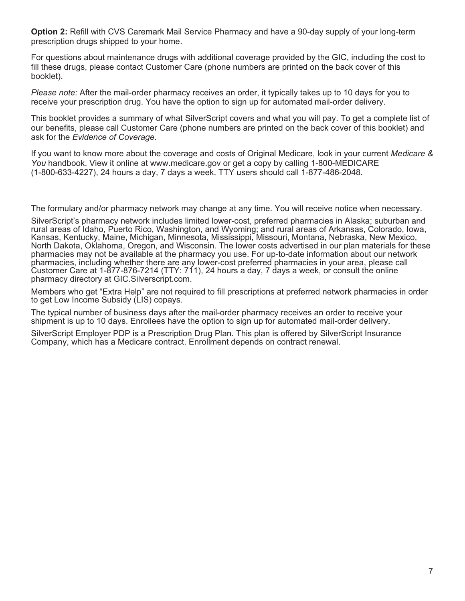**Option 2:** Refill with CVS Caremark Mail Service Pharmacy and have a 90-day supply of your long-term prescription drugs shipped to your home.

For questions about maintenance drugs with additional coverage provided by the GIC, including the cost to fill these drugs, please contact Customer Care (phone numbers are printed on the back cover of this booklet).

Please note: After the mail-order pharmacy receives an order, it typically takes up to 10 days for you to receive your prescription drug. You have the option to sign up for automated mail-order delivery.

This booklet provides a summary of what SilverScript covers and what you will pay. To get a complete list of our benefits, please call Customer Care (phone numbers are printed on the back cover of this booklet) and ask for the Evidence of Coverage.

If you want to know more about the coverage and costs of Original Medicare, look in your current Medicare & You handbook. View it online at www.medicare.gov or get a copy by calling 1-800-MEDICARE (1-800-633-4227), 24 hours a day, 7 days a week. TTY users should call 1-877-486-2048.

The formulary and/or pharmacy network may change at any time. You will receive notice when necessary.

SilverScript's pharmacy network includes limited lower-cost, preferred pharmacies in Alaska; suburban and rural areas of Idaho, Puerto Rico, Washington, and Wyoming; and rural areas of Arkansas, Colorado, Iowa, Kansas, Kentucky, Maine, Michigan, Minnesota, Mississippi, Missouri, Montana, Nebraska, New Mexico, North Dakota, Oklahoma, Oregon, and Wisconsin. The lower costs advertised in our plan materials for these pharmacies may not be available at the pharmacy you use. For up-to-date information about our network pharmacies, including whether there are any lower-cost preferred pharmacies in your area, please call Customer Care at 1-877-876-7214 (TTY: 711), 24 hours a day, 7 days a week, or consult the online pharmacy directory at GIC.Silverscript.com.

Members who get "Extra Help" are not required to fill prescriptions at preferred network pharmacies in order to get Low Income Subsidy (LIS) copays.

The typical number of business days after the mail-order pharmacy receives an order to receive your shipment is up to 10 days. Enrollees have the option to sign up for automated mail-order delivery.

SilverScript Employer PDP is a Prescription Drug Plan. This plan is offered by SilverScript Insurance Company, which has a Medicare contract. Enrollment depends on contract renewal.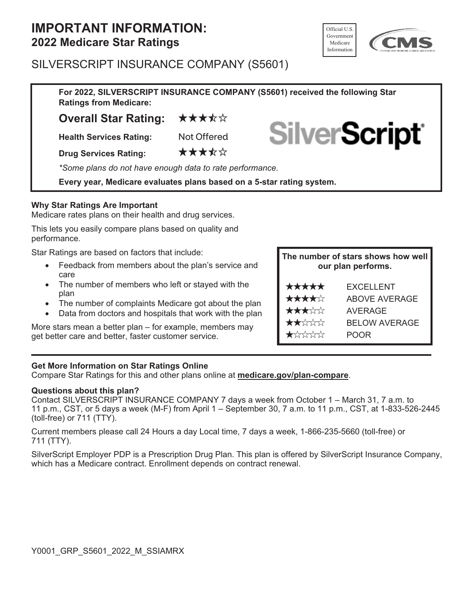# **IMPORTANT INFORMATION:**<br> **2022 Medicare Star Ratings**



### SILVERSCRIPT INSURANCE COMPANY (S5601)

**For 2022, SILVERSCRIPT INSURANCE COMPANY (S5601) received the following Star Ratings from Medicare:**

**Overall Star Rating: ★★★★☆** 

**Health Services Rating:** Not Offered

**Drug Services Rating:** ★★★★☆

\*Some plans do not have enough data to rate performance.

**Every year, Medicare evaluates plans based on a 5-star rating system.**

#### **Why Star Ratings Are Important**

Medicare rates plans on their health and drug services.

This lets you easily compare plans based on quality and performance.

Star Ratings are based on factors that include:

Feedback from members about the plan's service and care

The number of members who left or stayed with the plan

The number of complaints Medicare got about the plan Data from doctors and hospitals that work with the plan

More stars mean a better plan – for example, members may get better care and better, faster customer service.

#### **The number of stars shows how well our plan performs.**

**SilverScript** 

| *****                                  | <b>EXCELLENT</b>     |
|----------------------------------------|----------------------|
| ★★★★☆                                  | <b>ABOVE AVERAGE</b> |
| ★★★☆☆                                  | <b>AVERAGE</b>       |
| $\bigstar\bigstar\downarrow\downarrow$ | <b>BELOW AVERAGE</b> |
| $\bigstar$ x x x x x                   | <b>POOR</b>          |

#### **Get More Information on Star Ratings Online**

Compare Star Ratings for this and other plans online at **medicare.gov/plan-compare**.

#### **Questions about this plan?**

Contact SILVERSCRIPT INSURANCE COMPANY 7 days a week from October 1 – March 31, 7 a.m. to 11 p.m., CST, or 5 days a week (M-F) from April 1 – September 30, 7 a.m. to 11 p.m., CST, at 1-833-526-2445 (toll-free) or 711 (TTY).

Current members please call 24 Hours a day Local time, 7 days a week, 1-866-235-5660 (toll-free) or 711 (TTY).

SilverScript Employer PDP is a Prescription Drug Plan. This plan is offered by SilverScript Insurance Company, which has a Medicare contract. Enrollment depends on contract renewal.